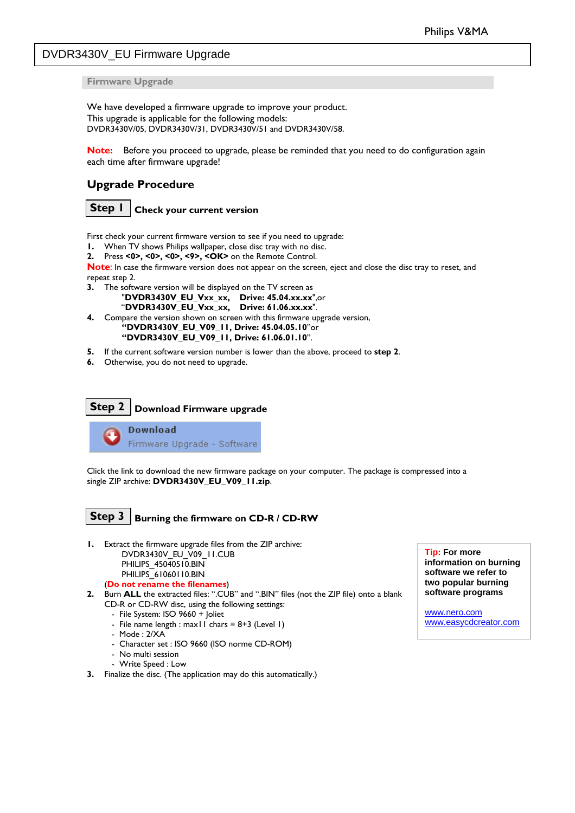#### <span id="page-0-0"></span>DVDR3430V\_EU Firmware Upgrade

**Firmware Upgrade** 

We have developed a firmware upgrade to improve your product. This upgrade is applicable for the following models: DVDR3430V/05, DVDR3430V/31, DVDR3430V/51 and DVDR3430V/58.

**Note:** Before you proceed to upgrade, please be reminded that you need to do configuration again each time after firmware upgrade!

#### **Upgrade Procedure**



First check your current firmware version to see if you need to upgrade:

- **1.** When TV shows Philips wallpaper, close disc tray with no disc.
- **2.** Press **<0>, <0>, <0>, <9>, <OK>** on the Remote Control.

**Note**: In case the firmware version does not appear on the screen, eject and close the disc tray to reset, and repeat step 2.

- **3.** The software version will be displayed on the TV screen as
	- "**DVDR3430V\_EU\_Vxx\_xx, Drive: 45.04.xx.xx**",or "**DVDR3430V\_EU\_Vxx\_xx, Drive: 61.06.xx.xx**".
- **4.** Compare the version shown on screen with this firmware upgrade version, **"DVDR3430V\_EU\_V09\_11, Drive: 45.04.05.10**"or **"DVDR3430V\_EU\_V09\_11, Drive: 61.06.01.10**".
- **5.** If the current software version number is lower than the above, proceed to **step 2**.
- **6.** Otherwise, you do not need to upgrade.

# **Step 2 Download Firmware upgrade**

**Download** Firmware Upgrade - Software Ļ

Click the link to download the new firmware package on your computer. The package is compressed into a single ZIP archive: **DVDR3430V\_EU\_V09\_11.zip**.

# **Step 3** Burning the firmware on CD-R / CD-RW

- **1.** Extract the firmware upgrade files from the ZIP archive:<br>DVDR3430V\_ELL\_V09\_LL\_CLIR
	- DVDR3430V\_EU\_V09\_11.CUB PHILIPS\_45040510.BIN

PHILIPS\_61060110.BIN (**Do not rename the filenames**)

- **2.** Burn **ALL** the extracted files: ".CUB" and ".BIN" files (not the ZIP file) onto a blank CD-R or CD-RW disc, using the following settings:
	- File System: ISO 9660 + Joliet
	- File name length : max11 chars =  $8+3$  (Level 1)
	- Mode : 2/XA
	- Character set : ISO 9660 (ISO norme CD-ROM)
	- No multi session
	- Write Speed : Low
- **3.** Finalize the disc. (The application may do this automatically.)

**information on burning software we refer to two popular burning software programs** 

[www.nero.com](http://www.nero.com/) [www.easycdcreator.com](http://www.easycdcreator.com/)